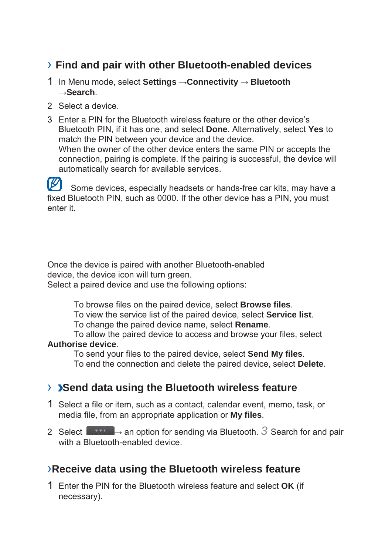## › **Find and pair with other Bluetooth-enabled devices**

- 1 In Menu mode, select **Settings** →**Connectivity** → **Bluetooth**  →**Search**.
- 2 Select a device.
- 3 Enter a PIN for the Bluetooth wireless feature or the other device's Bluetooth PIN, if it has one, and select **Done**. Alternatively, select **Yes** to match the PIN between your device and the device. When the owner of the other device enters the same PIN or accepts the connection, pairing is complete. If the pairing is successful, the device will automatically search for available services.

 $\mathbb{Z}$ Some devices, especially headsets or hands-free car kits, may have a fixed Bluetooth PIN, such as 0000. If the other device has a PIN, you must enter it.

Once the device is paired with another Bluetooth-enabled device, the device icon will turn green. Select a paired device and use the following options:

To browse files on the paired device, select **Browse files**.

To view the service list of the paired device, select **Service list**.

To change the paired device name, select **Rename**.

To allow the paired device to access and browse your files, select **Authorise device**.

To send your files to the paired device, select **Send My files**.

To end the connection and delete the paired device, select **Delete**.

## › **Send data using the Bluetooth wireless feature**

- 1 Select a file or item, such as a contact, calendar event, memo, task, or media file, from an appropriate application or **My files**.
- 2 Select  $\rightarrow$  an option for sending via Bluetooth.  $\beta$  Search for and pair with a Bluetooth-enabled device.

## ›**Receive data using the Bluetooth wireless feature**

1 Enter the PIN for the Bluetooth wireless feature and select **OK** (if necessary).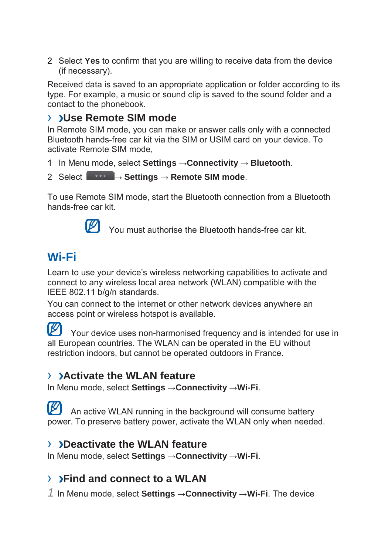2 Select **Yes** to confirm that you are willing to receive data from the device (if necessary).

Received data is saved to an appropriate application or folder according to its type. For example, a music or sound clip is saved to the sound folder and a contact to the phonebook.

## › **Use Remote SIM mode**

In Remote SIM mode, you can make or answer calls only with a connected Bluetooth hands-free car kit via the SIM or USIM card on your device. To activate Remote SIM mode,

- 1 In Menu mode, select **Settings** →**Connectivity** → **Bluetooth**.
- 2 Select → **Settings** → **Remote SIM mode**.

To use Remote SIM mode, start the Bluetooth connection from a Bluetooth hands-free car kit.



You must authorise the Bluetooth hands-free car kit.

## **Wi-Fi**

Learn to use your device's wireless networking capabilities to activate and connect to any wireless local area network (WLAN) compatible with the IEEE 802.11 b/g/n standards.

You can connect to the internet or other network devices anywhere an access point or wireless hotspot is available.

M Your device uses non-harmonised frequency and is intended for use in all European countries. The WLAN can be operated in the EU without restriction indoors, but cannot be operated outdoors in France.

## › **Activate the WLAN feature**

In Menu mode, select **Settings** →**Connectivity** →**Wi-Fi**.

 $\mathbb{Z}$ An active WLAN running in the background will consume battery power. To preserve battery power, activate the WLAN only when needed.

## › **Deactivate the WLAN feature**

In Menu mode, select **Settings** →**Connectivity** →**Wi-Fi**.

## › **Find and connect to a WLAN**

*1* In Menu mode, select **Settings** →**Connectivity** →**Wi-Fi**. The device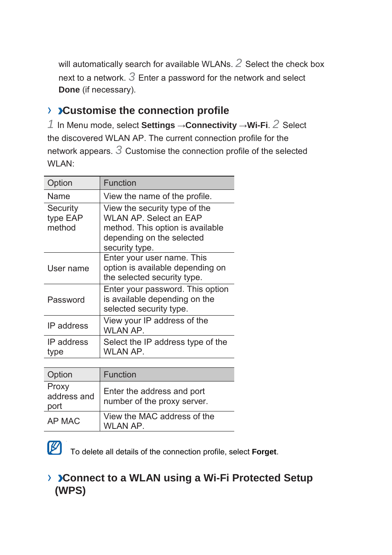will automatically search for available WLANs. *2* Select the check box next to a network. *3* Enter a password for the network and select **Done** (if necessary).

## › **Customise the connection profile**

*1* In Menu mode, select **Settings** →**Connectivity** →**Wi-Fi**. *2* Select the discovered WLAN AP. The current connection profile for the network appears. *3* Customise the connection profile of the selected WLAN:

| Option                         | <b>Function</b>                                                                                                                                   |
|--------------------------------|---------------------------------------------------------------------------------------------------------------------------------------------------|
| Name                           | View the name of the profile.                                                                                                                     |
| Security<br>type EAP<br>method | View the security type of the<br><b>WLAN AP. Select an EAP</b><br>method. This option is available<br>depending on the selected<br>security type. |
| User name                      | Enter your user name. This<br>option is available depending on<br>the selected security type.                                                     |
| Password                       | Enter your password. This option<br>is available depending on the<br>selected security type.                                                      |
| IP address                     | View your IP address of the<br>WLAN AP.                                                                                                           |
| IP address<br>type             | Select the IP address type of the<br>WLAN AP.                                                                                                     |
|                                |                                                                                                                                                   |

| Option                       | Function                                                  |
|------------------------------|-----------------------------------------------------------|
| Proxy<br>address and<br>port | Enter the address and port<br>number of the proxy server. |
| AP MAC                       | View the MAC address of the<br>WLAN AP.                   |



To delete all details of the connection profile, select **Forget**.

## › **Connect to a WLAN using a Wi-Fi Protected Setup (WPS)**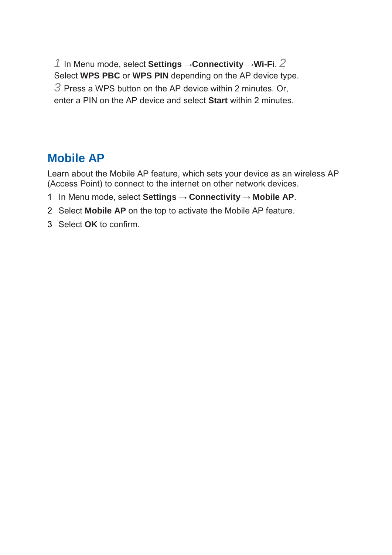*1* In Menu mode, select **Settings** →**Connectivity** →**Wi-Fi**. *2*  Select **WPS PBC** or **WPS PIN** depending on the AP device type. *3* Press a WPS button on the AP device within 2 minutes. Or, enter a PIN on the AP device and select **Start** within 2 minutes.

## **Mobile AP**

Learn about the Mobile AP feature, which sets your device as an wireless AP (Access Point) to connect to the internet on other network devices.

- 1 In Menu mode, select **Settings** → **Connectivity** → **Mobile AP**.
- 2 Select **Mobile AP** on the top to activate the Mobile AP feature.
- 3 Select **OK** to confirm.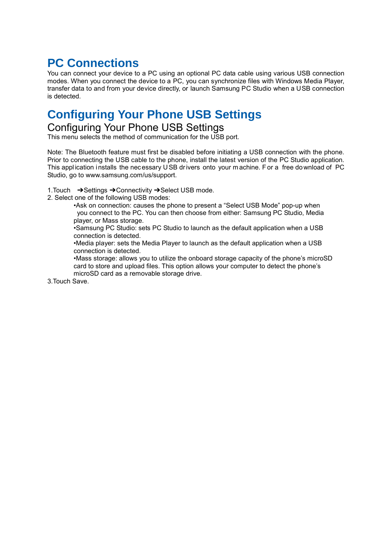## **PC Connections**

You can connect your device to a PC using an optional PC data cable using various USB connection modes. When you connect the device to a PC, you can synchronize files with Windows Media Player, transfer data to and from your device directly, or launch Samsung PC Studio when a USB connection is detected.

## **Configuring Your Phone USB Settings**

### Configuring Your Phone USB Settings

This menu selects the method of communication for the USB port.

Note: The Bluetooth feature must first be disabled before initiating a USB connection with the phone. Prior to connecting the USB cable to the phone, install the latest version of the PC Studio application. This appl ication installs the nec essary U SB drivers onto your m achine. F or a free do wnload of PC Studio, go to www.samsung.com/us/support.

1.Touch ➔Settings ➔Connectivity ➔Select USB mode.

2. Select one of the following USB modes:

•Ask on connection: causes the phone to present a "Select USB Mode" pop-up when you connect to the PC. You can then choose from either: Samsung PC Studio, Media player, or Mass storage.

•Samsung PC Studio: sets PC Studio to launch as the default application when a USB connection is detected.

•Media player: sets the Media Player to launch as the default application when a USB connection is detected.

•Mass storage: allows you to utilize the onboard storage capacity of the phone's microSD card to store and upload files. This option allows your computer to detect the phone's microSD card as a removable storage drive.

3.Touch Save.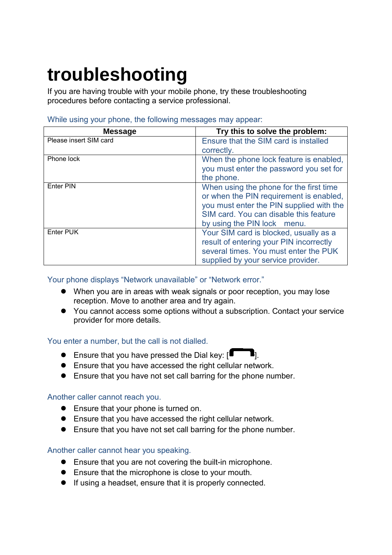# **troubleshooting**

If you are having trouble with your mobile phone, try these troubleshooting procedures before contacting a service professional.

| <b>Message</b>         | Try this to solve the problem:                                                                                                                                                                             |
|------------------------|------------------------------------------------------------------------------------------------------------------------------------------------------------------------------------------------------------|
| Please insert SIM card | Ensure that the SIM card is installed                                                                                                                                                                      |
|                        | correctly.                                                                                                                                                                                                 |
| Phone lock             | When the phone lock feature is enabled,<br>you must enter the password you set for<br>the phone.                                                                                                           |
| <b>Enter PIN</b>       | When using the phone for the first time<br>or when the PIN requirement is enabled,<br>you must enter the PIN supplied with the<br>SIM card. You can disable this feature<br>by using the PIN lock<br>menu. |
| Enter PUK              | Your SIM card is blocked, usually as a<br>result of entering your PIN incorrectly<br>several times. You must enter the PUK<br>supplied by your service provider.                                           |

### While using your phone, the following messages may appear:

### Your phone displays "Network unavailable" or "Network error."

- When you are in areas with weak signals or poor reception, you may lose reception. Move to another area and try again.
- You cannot access some options without a subscription. Contact your service provider for more details.

### You enter a number, but the call is not dialled.

- **Ensure that you have pressed the Dial key:**  $[\blacksquare \blacksquare]$ .
- Ensure that you have accessed the right cellular network.
- Ensure that you have not set call barring for the phone number.

### Another caller cannot reach you.

- **Ensure that your phone is turned on.**
- Ensure that you have accessed the right cellular network.
- Ensure that you have not set call barring for the phone number.

### Another caller cannot hear you speaking.

- Ensure that you are not covering the built-in microphone.
- Ensure that the microphone is close to your mouth.
- If using a headset, ensure that it is properly connected.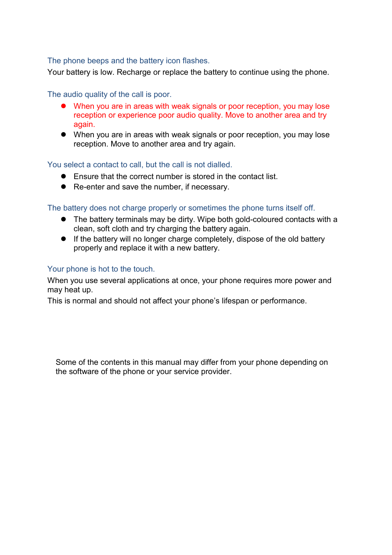### The phone beeps and the battery icon flashes.

Your battery is low. Recharge or replace the battery to continue using the phone.

### The audio quality of the call is poor.

- When you are in areas with weak signals or poor reception, you may lose reception or experience poor audio quality. Move to another area and try again.
- When you are in areas with weak signals or poor reception, you may lose reception. Move to another area and try again.

### You select a contact to call, but the call is not dialled.

- Ensure that the correct number is stored in the contact list.
- Re-enter and save the number, if necessary.

### The battery does not charge properly or sometimes the phone turns itself off.

- The battery terminals may be dirty. Wipe both gold-coloured contacts with a clean, soft cloth and try charging the battery again.
- If the battery will no longer charge completely, dispose of the old battery properly and replace it with a new battery.

### Your phone is hot to the touch.

When you use several applications at once, your phone requires more power and may heat up.

This is normal and should not affect your phone's lifespan or performance.

Some of the contents in this manual may differ from your phone depending on the software of the phone or your service provider.